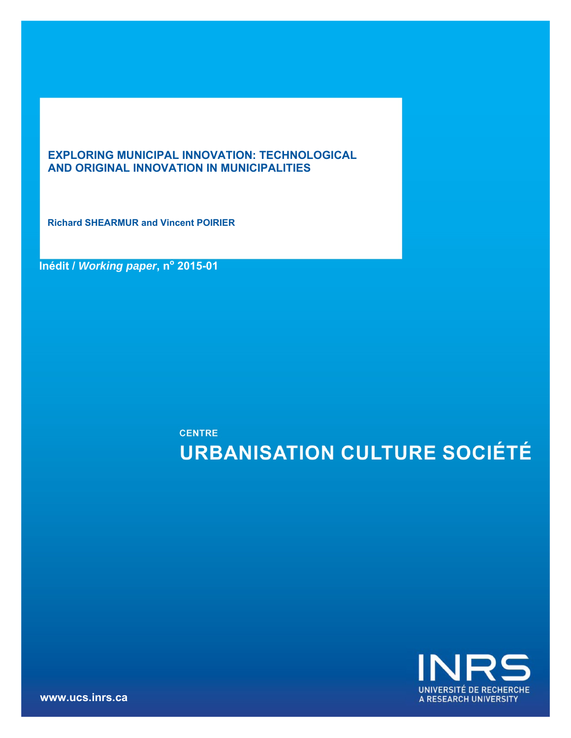# **EXPLORING MUNICIPAL INNOVATION: TECHNOLOGICAL AND ORIGINAL INNOVATION IN MUNICIPALITIES**

**Richard SHEARMUR and Vincent POIRIER** 

**Inédit / Working paper, nº 2015-01** 

# **CENTRE URBANISATION CULTURE SOCIÉTÉ**



**www.ucs.inrs.ca**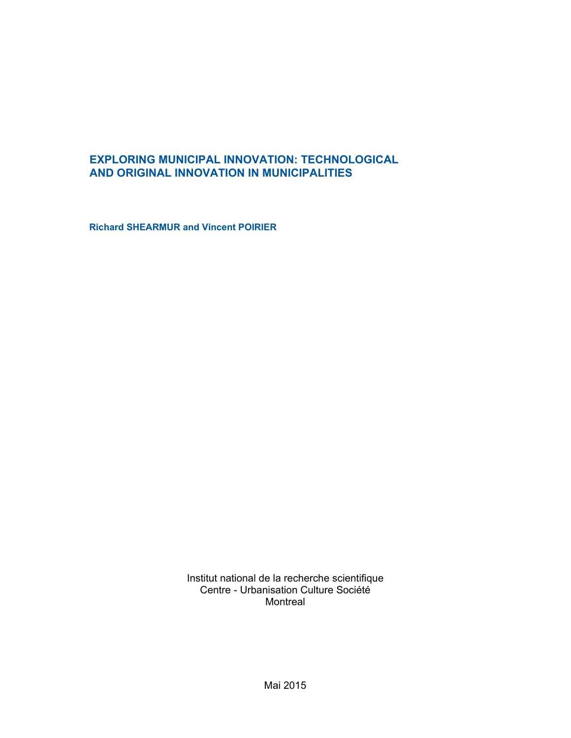# **EXPLORING MUNICIPAL INNOVATION: TECHNOLOGICAL AND ORIGINAL INNOVATION IN MUNICIPALITIES**

**Richard SHEARMUR and Vincent POIRIER** 

Institut national de la recherche scientifique Centre - Urbanisation Culture Société **Montreal**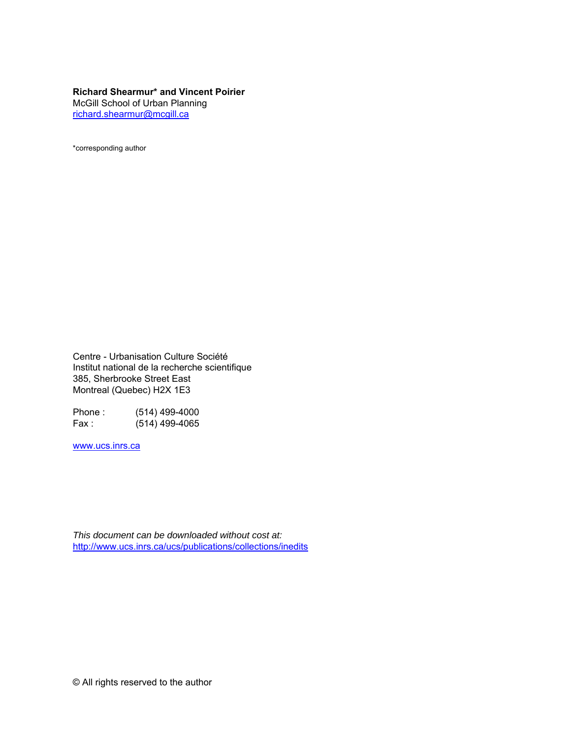#### **Richard Shearmur\* and Vincent Poirier**

McGill School of Urban Planning richard.shearmur@mcgill.ca

\*corresponding author

Centre - Urbanisation Culture Société Institut national de la recherche scientifique 385, Sherbrooke Street East Montreal (Quebec) H2X 1E3

Phone : (514) 499-4000 Fax : (514) 499-4065

www.ucs.inrs.ca

*This document can be downloaded without cost at:*  http://www.ucs.inrs.ca/ucs/publications/collections/inedits

© All rights reserved to the author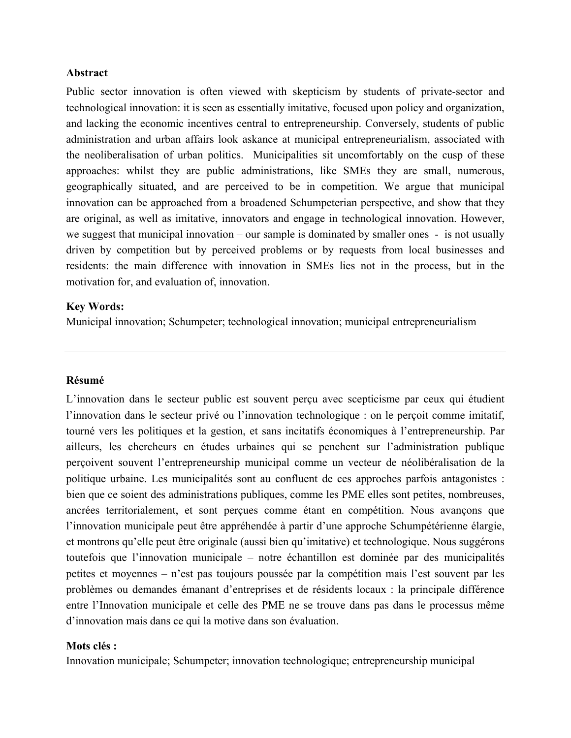#### **Abstract**

Public sector innovation is often viewed with skepticism by students of private-sector and technological innovation: it is seen as essentially imitative, focused upon policy and organization, and lacking the economic incentives central to entrepreneurship. Conversely, students of public administration and urban affairs look askance at municipal entrepreneurialism, associated with the neoliberalisation of urban politics. Municipalities sit uncomfortably on the cusp of these approaches: whilst they are public administrations, like SMEs they are small, numerous, geographically situated, and are perceived to be in competition. We argue that municipal innovation can be approached from a broadened Schumpeterian perspective, and show that they are original, as well as imitative, innovators and engage in technological innovation. However, we suggest that municipal innovation – our sample is dominated by smaller ones - is not usually driven by competition but by perceived problems or by requests from local businesses and residents: the main difference with innovation in SMEs lies not in the process, but in the motivation for, and evaluation of, innovation.

## **Key Words:**

Municipal innovation; Schumpeter; technological innovation; municipal entrepreneurialism

## **Résumé**

L'innovation dans le secteur public est souvent perçu avec scepticisme par ceux qui étudient l'innovation dans le secteur privé ou l'innovation technologique : on le perçoit comme imitatif, tourné vers les politiques et la gestion, et sans incitatifs économiques à l'entrepreneurship. Par ailleurs, les chercheurs en études urbaines qui se penchent sur l'administration publique perçoivent souvent l'entrepreneurship municipal comme un vecteur de néolibéralisation de la politique urbaine. Les municipalités sont au confluent de ces approches parfois antagonistes : bien que ce soient des administrations publiques, comme les PME elles sont petites, nombreuses, ancrées territorialement, et sont perçues comme étant en compétition. Nous avançons que l'innovation municipale peut être appréhendée à partir d'une approche Schumpétérienne élargie, et montrons qu'elle peut être originale (aussi bien qu'imitative) et technologique. Nous suggérons toutefois que l'innovation municipale – notre échantillon est dominée par des municipalités petites et moyennes – n'est pas toujours poussée par la compétition mais l'est souvent par les problèmes ou demandes émanant d'entreprises et de résidents locaux : la principale différence entre l'Innovation municipale et celle des PME ne se trouve dans pas dans le processus même d'innovation mais dans ce qui la motive dans son évaluation.

## **Mots clés :**

Innovation municipale; Schumpeter; innovation technologique; entrepreneurship municipal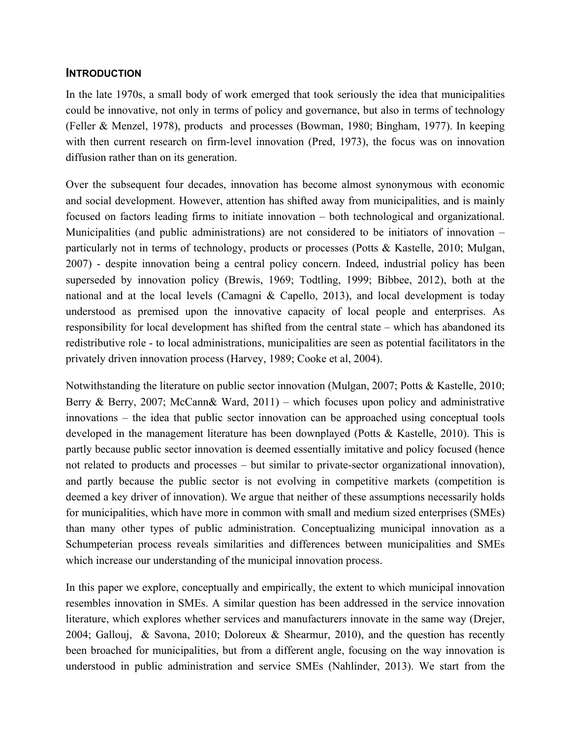# **INTRODUCTION**

In the late 1970s, a small body of work emerged that took seriously the idea that municipalities could be innovative, not only in terms of policy and governance, but also in terms of technology (Feller & Menzel, 1978), products and processes (Bowman, 1980; Bingham, 1977). In keeping with then current research on firm-level innovation (Pred, 1973), the focus was on innovation diffusion rather than on its generation.

Over the subsequent four decades, innovation has become almost synonymous with economic and social development. However, attention has shifted away from municipalities, and is mainly focused on factors leading firms to initiate innovation – both technological and organizational. Municipalities (and public administrations) are not considered to be initiators of innovation – particularly not in terms of technology, products or processes (Potts & Kastelle, 2010; Mulgan, 2007) - despite innovation being a central policy concern. Indeed, industrial policy has been superseded by innovation policy (Brewis, 1969; Todtling, 1999; Bibbee, 2012), both at the national and at the local levels (Camagni & Capello, 2013), and local development is today understood as premised upon the innovative capacity of local people and enterprises. As responsibility for local development has shifted from the central state – which has abandoned its redistributive role - to local administrations, municipalities are seen as potential facilitators in the privately driven innovation process (Harvey, 1989; Cooke et al, 2004).

Notwithstanding the literature on public sector innovation (Mulgan, 2007; Potts & Kastelle, 2010; Berry & Berry, 2007; McCann & Ward, 2011) – which focuses upon policy and administrative innovations – the idea that public sector innovation can be approached using conceptual tools developed in the management literature has been downplayed (Potts & Kastelle, 2010). This is partly because public sector innovation is deemed essentially imitative and policy focused (hence not related to products and processes – but similar to private-sector organizational innovation), and partly because the public sector is not evolving in competitive markets (competition is deemed a key driver of innovation). We argue that neither of these assumptions necessarily holds for municipalities, which have more in common with small and medium sized enterprises (SMEs) than many other types of public administration. Conceptualizing municipal innovation as a Schumpeterian process reveals similarities and differences between municipalities and SMEs which increase our understanding of the municipal innovation process.

In this paper we explore, conceptually and empirically, the extent to which municipal innovation resembles innovation in SMEs. A similar question has been addressed in the service innovation literature, which explores whether services and manufacturers innovate in the same way (Drejer, 2004; Gallouj, & Savona, 2010; Doloreux & Shearmur, 2010), and the question has recently been broached for municipalities, but from a different angle, focusing on the way innovation is understood in public administration and service SMEs (Nahlinder, 2013). We start from the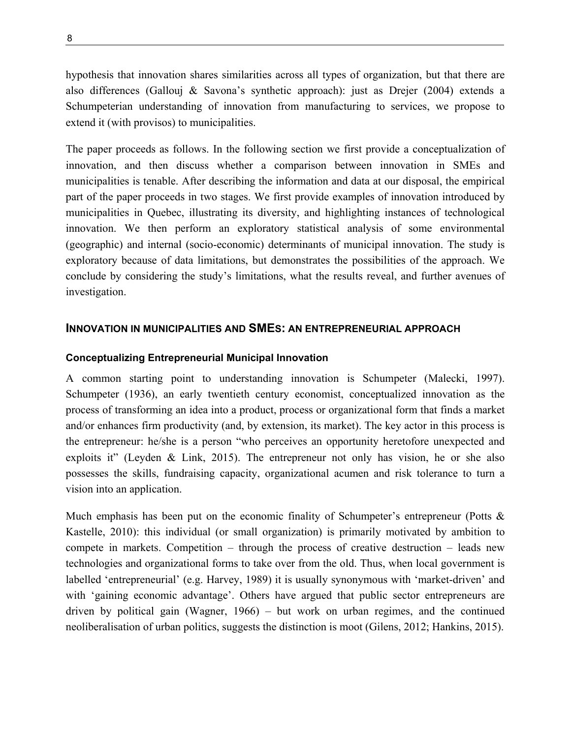hypothesis that innovation shares similarities across all types of organization, but that there are also differences (Gallouj & Savona's synthetic approach): just as Drejer (2004) extends a Schumpeterian understanding of innovation from manufacturing to services, we propose to extend it (with provisos) to municipalities.

The paper proceeds as follows. In the following section we first provide a conceptualization of innovation, and then discuss whether a comparison between innovation in SMEs and municipalities is tenable. After describing the information and data at our disposal, the empirical part of the paper proceeds in two stages. We first provide examples of innovation introduced by municipalities in Quebec, illustrating its diversity, and highlighting instances of technological innovation. We then perform an exploratory statistical analysis of some environmental (geographic) and internal (socio-economic) determinants of municipal innovation. The study is exploratory because of data limitations, but demonstrates the possibilities of the approach. We conclude by considering the study's limitations, what the results reveal, and further avenues of investigation.

#### **INNOVATION IN MUNICIPALITIES AND SMES: AN ENTREPRENEURIAL APPROACH**

#### **Conceptualizing Entrepreneurial Municipal Innovation**

A common starting point to understanding innovation is Schumpeter (Malecki, 1997). Schumpeter (1936), an early twentieth century economist, conceptualized innovation as the process of transforming an idea into a product, process or organizational form that finds a market and/or enhances firm productivity (and, by extension, its market). The key actor in this process is the entrepreneur: he/she is a person "who perceives an opportunity heretofore unexpected and exploits it" (Leyden & Link, 2015). The entrepreneur not only has vision, he or she also possesses the skills, fundraising capacity, organizational acumen and risk tolerance to turn a vision into an application.

Much emphasis has been put on the economic finality of Schumpeter's entrepreneur (Potts  $\&$ Kastelle, 2010): this individual (or small organization) is primarily motivated by ambition to compete in markets. Competition – through the process of creative destruction – leads new technologies and organizational forms to take over from the old. Thus, when local government is labelled 'entrepreneurial' (e.g. Harvey, 1989) it is usually synonymous with 'market-driven' and with 'gaining economic advantage'. Others have argued that public sector entrepreneurs are driven by political gain (Wagner, 1966) – but work on urban regimes, and the continued neoliberalisation of urban politics, suggests the distinction is moot (Gilens, 2012; Hankins, 2015).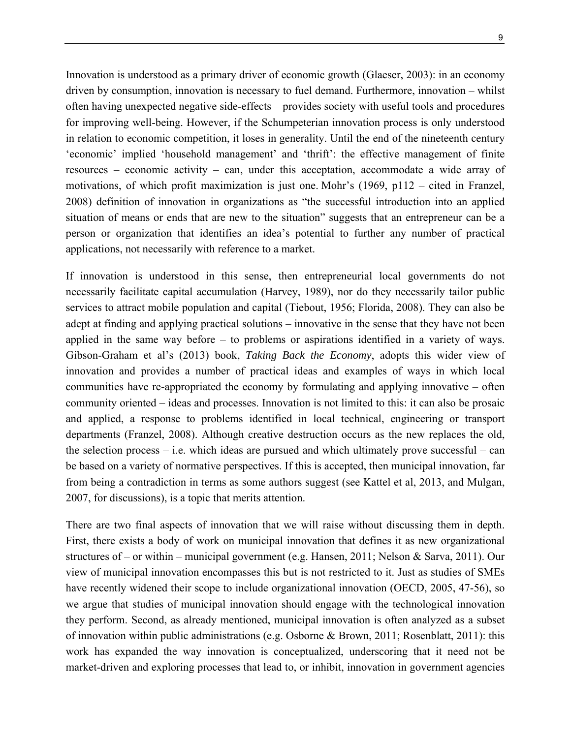9

Innovation is understood as a primary driver of economic growth (Glaeser, 2003): in an economy driven by consumption, innovation is necessary to fuel demand. Furthermore, innovation – whilst often having unexpected negative side-effects – provides society with useful tools and procedures for improving well-being. However, if the Schumpeterian innovation process is only understood in relation to economic competition, it loses in generality. Until the end of the nineteenth century 'economic' implied 'household management' and 'thrift': the effective management of finite resources – economic activity – can, under this acceptation, accommodate a wide array of motivations, of which profit maximization is just one. Mohr's (1969, p112 – cited in Franzel, 2008) definition of innovation in organizations as "the successful introduction into an applied situation of means or ends that are new to the situation" suggests that an entrepreneur can be a person or organization that identifies an idea's potential to further any number of practical applications, not necessarily with reference to a market.

If innovation is understood in this sense, then entrepreneurial local governments do not necessarily facilitate capital accumulation (Harvey, 1989), nor do they necessarily tailor public services to attract mobile population and capital (Tiebout, 1956; Florida, 2008). They can also be adept at finding and applying practical solutions – innovative in the sense that they have not been applied in the same way before – to problems or aspirations identified in a variety of ways. Gibson-Graham et al's (2013) book, *Taking Back the Economy*, adopts this wider view of innovation and provides a number of practical ideas and examples of ways in which local communities have re-appropriated the economy by formulating and applying innovative – often community oriented – ideas and processes. Innovation is not limited to this: it can also be prosaic and applied, a response to problems identified in local technical, engineering or transport departments (Franzel, 2008). Although creative destruction occurs as the new replaces the old, the selection process  $-$  i.e. which ideas are pursued and which ultimately prove successful – can be based on a variety of normative perspectives. If this is accepted, then municipal innovation, far from being a contradiction in terms as some authors suggest (see Kattel et al, 2013, and Mulgan, 2007, for discussions), is a topic that merits attention.

There are two final aspects of innovation that we will raise without discussing them in depth. First, there exists a body of work on municipal innovation that defines it as new organizational structures of – or within – municipal government (e.g. Hansen, 2011; Nelson & Sarva, 2011). Our view of municipal innovation encompasses this but is not restricted to it. Just as studies of SMEs have recently widened their scope to include organizational innovation (OECD, 2005, 47-56), so we argue that studies of municipal innovation should engage with the technological innovation they perform. Second, as already mentioned, municipal innovation is often analyzed as a subset of innovation within public administrations (e.g. Osborne & Brown, 2011; Rosenblatt, 2011): this work has expanded the way innovation is conceptualized, underscoring that it need not be market-driven and exploring processes that lead to, or inhibit, innovation in government agencies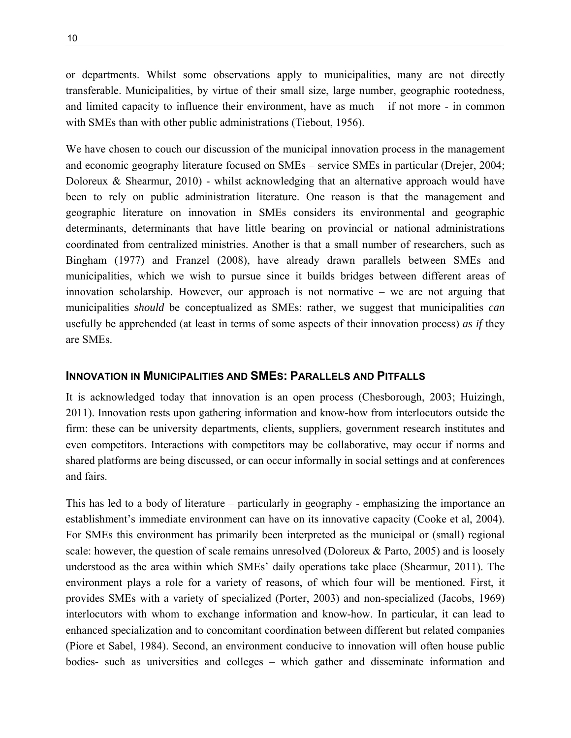or departments. Whilst some observations apply to municipalities, many are not directly transferable. Municipalities, by virtue of their small size, large number, geographic rootedness, and limited capacity to influence their environment, have as much – if not more - in common with SMEs than with other public administrations (Tiebout, 1956).

We have chosen to couch our discussion of the municipal innovation process in the management and economic geography literature focused on SMEs – service SMEs in particular (Drejer, 2004; Doloreux & Shearmur, 2010) - whilst acknowledging that an alternative approach would have been to rely on public administration literature. One reason is that the management and geographic literature on innovation in SMEs considers its environmental and geographic determinants, determinants that have little bearing on provincial or national administrations coordinated from centralized ministries. Another is that a small number of researchers, such as Bingham (1977) and Franzel (2008), have already drawn parallels between SMEs and municipalities, which we wish to pursue since it builds bridges between different areas of innovation scholarship. However, our approach is not normative – we are not arguing that municipalities *should* be conceptualized as SMEs: rather, we suggest that municipalities *can*  usefully be apprehended (at least in terms of some aspects of their innovation process) *as if* they are SMEs.

# **INNOVATION IN MUNICIPALITIES AND SMES: PARALLELS AND PITFALLS**

It is acknowledged today that innovation is an open process (Chesborough, 2003; Huizingh, 2011). Innovation rests upon gathering information and know-how from interlocutors outside the firm: these can be university departments, clients, suppliers, government research institutes and even competitors. Interactions with competitors may be collaborative, may occur if norms and shared platforms are being discussed, or can occur informally in social settings and at conferences and fairs.

This has led to a body of literature – particularly in geography - emphasizing the importance an establishment's immediate environment can have on its innovative capacity (Cooke et al, 2004). For SMEs this environment has primarily been interpreted as the municipal or (small) regional scale: however, the question of scale remains unresolved (Doloreux & Parto, 2005) and is loosely understood as the area within which SMEs' daily operations take place (Shearmur, 2011). The environment plays a role for a variety of reasons, of which four will be mentioned. First, it provides SMEs with a variety of specialized (Porter, 2003) and non-specialized (Jacobs, 1969) interlocutors with whom to exchange information and know-how. In particular, it can lead to enhanced specialization and to concomitant coordination between different but related companies (Piore et Sabel, 1984). Second, an environment conducive to innovation will often house public bodies- such as universities and colleges – which gather and disseminate information and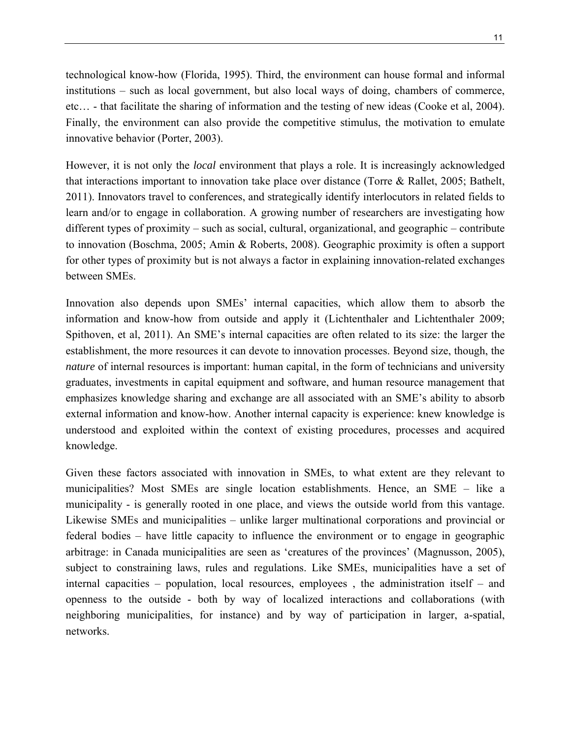technological know-how (Florida, 1995). Third, the environment can house formal and informal institutions – such as local government, but also local ways of doing, chambers of commerce, etc… - that facilitate the sharing of information and the testing of new ideas (Cooke et al, 2004). Finally, the environment can also provide the competitive stimulus, the motivation to emulate innovative behavior (Porter, 2003).

However, it is not only the *local* environment that plays a role. It is increasingly acknowledged that interactions important to innovation take place over distance (Torre & Rallet, 2005; Bathelt, 2011). Innovators travel to conferences, and strategically identify interlocutors in related fields to learn and/or to engage in collaboration. A growing number of researchers are investigating how different types of proximity – such as social, cultural, organizational, and geographic – contribute to innovation (Boschma, 2005; Amin & Roberts, 2008). Geographic proximity is often a support for other types of proximity but is not always a factor in explaining innovation-related exchanges between SMEs.

Innovation also depends upon SMEs' internal capacities, which allow them to absorb the information and know-how from outside and apply it (Lichtenthaler and Lichtenthaler 2009; Spithoven, et al, 2011). An SME's internal capacities are often related to its size: the larger the establishment, the more resources it can devote to innovation processes. Beyond size, though, the *nature* of internal resources is important: human capital, in the form of technicians and university graduates, investments in capital equipment and software, and human resource management that emphasizes knowledge sharing and exchange are all associated with an SME's ability to absorb external information and know-how. Another internal capacity is experience: knew knowledge is understood and exploited within the context of existing procedures, processes and acquired knowledge.

Given these factors associated with innovation in SMEs, to what extent are they relevant to municipalities? Most SMEs are single location establishments. Hence, an SME – like a municipality - is generally rooted in one place, and views the outside world from this vantage. Likewise SMEs and municipalities – unlike larger multinational corporations and provincial or federal bodies – have little capacity to influence the environment or to engage in geographic arbitrage: in Canada municipalities are seen as 'creatures of the provinces' (Magnusson, 2005), subject to constraining laws, rules and regulations. Like SMEs, municipalities have a set of internal capacities – population, local resources, employees , the administration itself – and openness to the outside - both by way of localized interactions and collaborations (with neighboring municipalities, for instance) and by way of participation in larger, a-spatial, networks.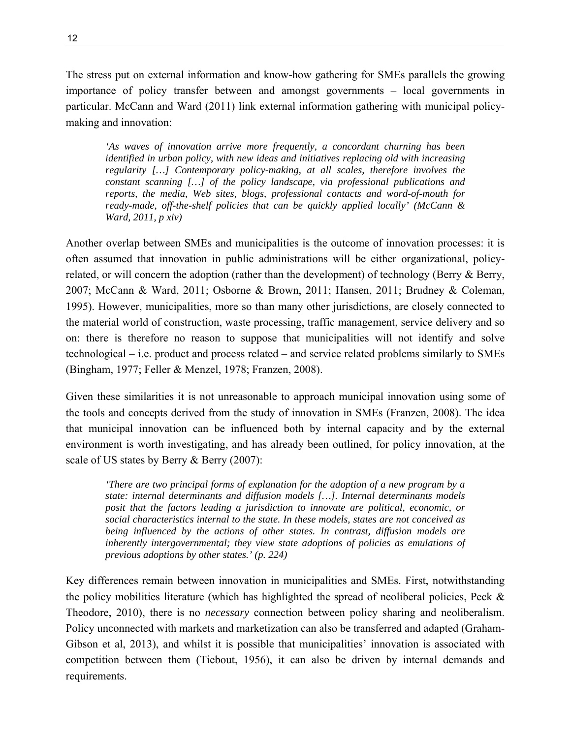The stress put on external information and know-how gathering for SMEs parallels the growing importance of policy transfer between and amongst governments – local governments in particular. McCann and Ward (2011) link external information gathering with municipal policymaking and innovation:

*'As waves of innovation arrive more frequently, a concordant churning has been identified in urban policy, with new ideas and initiatives replacing old with increasing regularity […] Contemporary policy-making, at all scales, therefore involves the constant scanning […] of the policy landscape, via professional publications and reports, the media, Web sites, blogs, professional contacts and word-of-mouth for ready-made, off-the-shelf policies that can be quickly applied locally' (McCann & Ward, 2011, p xiv)* 

Another overlap between SMEs and municipalities is the outcome of innovation processes: it is often assumed that innovation in public administrations will be either organizational, policyrelated, or will concern the adoption (rather than the development) of technology (Berry & Berry, 2007; McCann & Ward, 2011; Osborne & Brown, 2011; Hansen, 2011; Brudney & Coleman, 1995). However, municipalities, more so than many other jurisdictions, are closely connected to the material world of construction, waste processing, traffic management, service delivery and so on: there is therefore no reason to suppose that municipalities will not identify and solve technological – i.e. product and process related – and service related problems similarly to SMEs (Bingham, 1977; Feller & Menzel, 1978; Franzen, 2008).

Given these similarities it is not unreasonable to approach municipal innovation using some of the tools and concepts derived from the study of innovation in SMEs (Franzen, 2008). The idea that municipal innovation can be influenced both by internal capacity and by the external environment is worth investigating, and has already been outlined, for policy innovation, at the scale of US states by Berry & Berry (2007):

*'There are two principal forms of explanation for the adoption of a new program by a state: internal determinants and diffusion models […]. Internal determinants models posit that the factors leading a jurisdiction to innovate are political, economic, or social characteristics internal to the state. In these models, states are not conceived as being influenced by the actions of other states. In contrast, diffusion models are inherently intergovernmental; they view state adoptions of policies as emulations of previous adoptions by other states.' (p. 224)* 

Key differences remain between innovation in municipalities and SMEs. First, notwithstanding the policy mobilities literature (which has highlighted the spread of neoliberal policies, Peck & Theodore, 2010), there is no *necessary* connection between policy sharing and neoliberalism. Policy unconnected with markets and marketization can also be transferred and adapted (Graham-Gibson et al, 2013), and whilst it is possible that municipalities' innovation is associated with competition between them (Tiebout, 1956), it can also be driven by internal demands and requirements.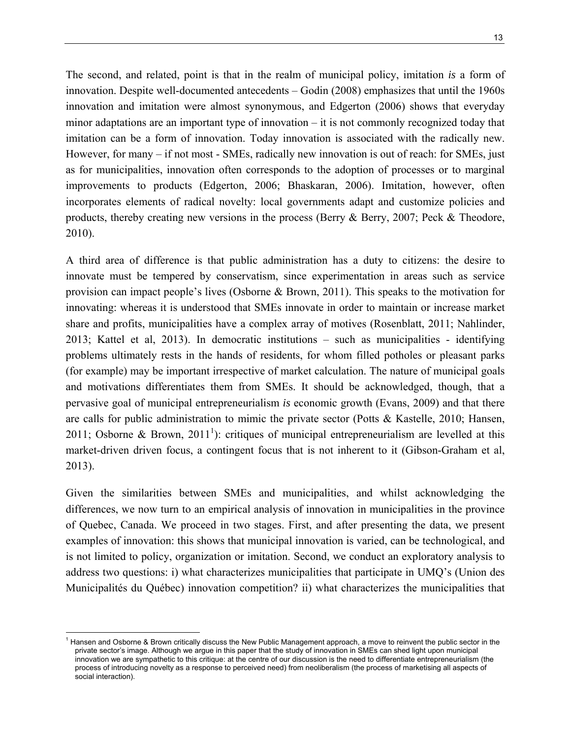The second, and related, point is that in the realm of municipal policy, imitation *is* a form of innovation. Despite well-documented antecedents – Godin (2008) emphasizes that until the 1960s innovation and imitation were almost synonymous, and Edgerton (2006) shows that everyday minor adaptations are an important type of innovation – it is not commonly recognized today that imitation can be a form of innovation. Today innovation is associated with the radically new. However, for many – if not most - SMEs, radically new innovation is out of reach: for SMEs, just as for municipalities, innovation often corresponds to the adoption of processes or to marginal improvements to products (Edgerton, 2006; Bhaskaran, 2006). Imitation, however, often incorporates elements of radical novelty: local governments adapt and customize policies and products, thereby creating new versions in the process (Berry & Berry, 2007; Peck & Theodore, 2010).

A third area of difference is that public administration has a duty to citizens: the desire to innovate must be tempered by conservatism, since experimentation in areas such as service provision can impact people's lives (Osborne & Brown, 2011). This speaks to the motivation for innovating: whereas it is understood that SMEs innovate in order to maintain or increase market share and profits, municipalities have a complex array of motives (Rosenblatt, 2011; Nahlinder, 2013; Kattel et al, 2013). In democratic institutions – such as municipalities - identifying problems ultimately rests in the hands of residents, for whom filled potholes or pleasant parks (for example) may be important irrespective of market calculation. The nature of municipal goals and motivations differentiates them from SMEs. It should be acknowledged, though, that a pervasive goal of municipal entrepreneurialism *is* economic growth (Evans, 2009) and that there are calls for public administration to mimic the private sector (Potts & Kastelle, 2010; Hansen, 2011; Osborne & Brown, 2011<sup>1</sup>): critiques of municipal entrepreneurialism are levelled at this market-driven driven focus, a contingent focus that is not inherent to it (Gibson-Graham et al, 2013).

Given the similarities between SMEs and municipalities, and whilst acknowledging the differences, we now turn to an empirical analysis of innovation in municipalities in the province of Quebec, Canada. We proceed in two stages. First, and after presenting the data, we present examples of innovation: this shows that municipal innovation is varied, can be technological, and is not limited to policy, organization or imitation. Second, we conduct an exploratory analysis to address two questions: i) what characterizes municipalities that participate in UMQ's (Union des Municipalités du Québec) innovation competition? ii) what characterizes the municipalities that

 $\overline{a}$ 

<sup>&</sup>lt;sup>1</sup> Hansen and Osborne & Brown critically discuss the New Public Management approach, a move to reinvent the public sector in the private sector's image. Although we argue in this paper that the study of innovation in SMEs can shed light upon municipal innovation we are sympathetic to this critique: at the centre of our discussion is the need to differentiate entrepreneurialism (the process of introducing novelty as a response to perceived need) from neoliberalism (the process of marketising all aspects of social interaction).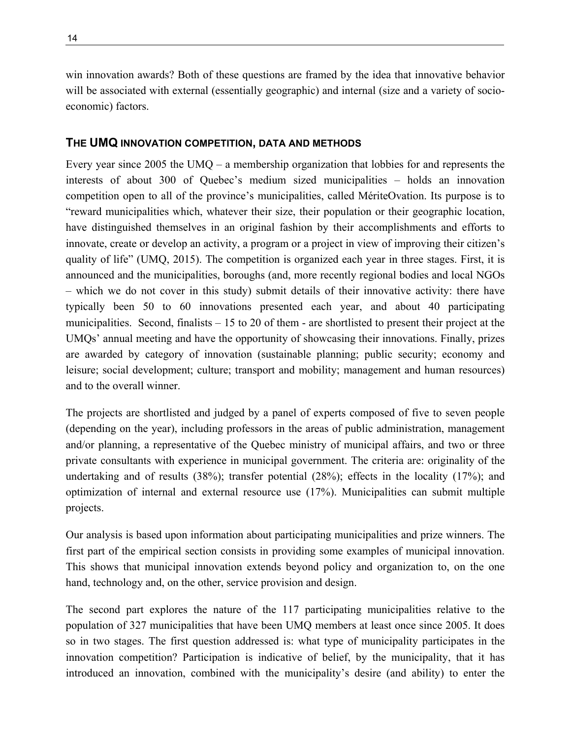win innovation awards? Both of these questions are framed by the idea that innovative behavior will be associated with external (essentially geographic) and internal (size and a variety of socioeconomic) factors.

## **THE UMQ INNOVATION COMPETITION, DATA AND METHODS**

Every year since 2005 the UMQ – a membership organization that lobbies for and represents the interests of about 300 of Quebec's medium sized municipalities – holds an innovation competition open to all of the province's municipalities, called MériteOvation. Its purpose is to "reward municipalities which, whatever their size, their population or their geographic location, have distinguished themselves in an original fashion by their accomplishments and efforts to innovate, create or develop an activity, a program or a project in view of improving their citizen's quality of life" (UMQ, 2015). The competition is organized each year in three stages. First, it is announced and the municipalities, boroughs (and, more recently regional bodies and local NGOs – which we do not cover in this study) submit details of their innovative activity: there have typically been 50 to 60 innovations presented each year, and about 40 participating municipalities. Second, finalists – 15 to 20 of them - are shortlisted to present their project at the UMQs' annual meeting and have the opportunity of showcasing their innovations. Finally, prizes are awarded by category of innovation (sustainable planning; public security; economy and leisure; social development; culture; transport and mobility; management and human resources) and to the overall winner.

The projects are shortlisted and judged by a panel of experts composed of five to seven people (depending on the year), including professors in the areas of public administration, management and/or planning, a representative of the Quebec ministry of municipal affairs, and two or three private consultants with experience in municipal government. The criteria are: originality of the undertaking and of results (38%); transfer potential (28%); effects in the locality (17%); and optimization of internal and external resource use (17%). Municipalities can submit multiple projects.

Our analysis is based upon information about participating municipalities and prize winners. The first part of the empirical section consists in providing some examples of municipal innovation. This shows that municipal innovation extends beyond policy and organization to, on the one hand, technology and, on the other, service provision and design.

The second part explores the nature of the 117 participating municipalities relative to the population of 327 municipalities that have been UMQ members at least once since 2005. It does so in two stages. The first question addressed is: what type of municipality participates in the innovation competition? Participation is indicative of belief, by the municipality, that it has introduced an innovation, combined with the municipality's desire (and ability) to enter the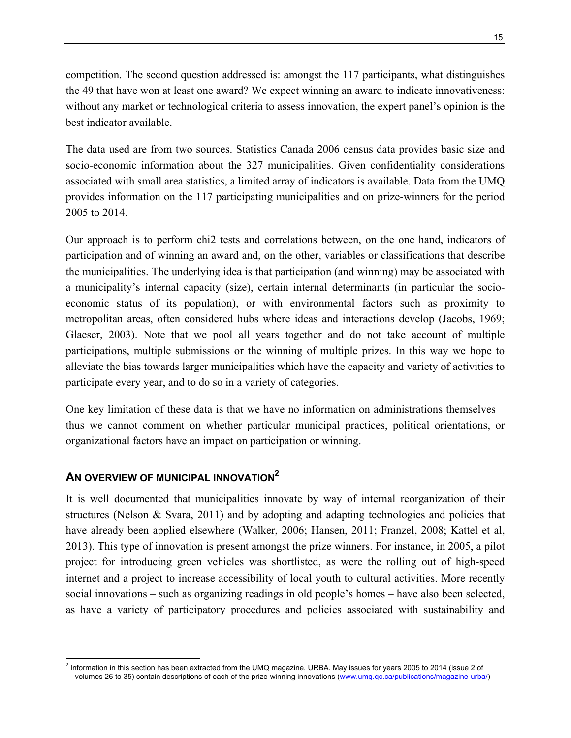competition. The second question addressed is: amongst the 117 participants, what distinguishes the 49 that have won at least one award? We expect winning an award to indicate innovativeness: without any market or technological criteria to assess innovation, the expert panel's opinion is the best indicator available.

The data used are from two sources. Statistics Canada 2006 census data provides basic size and socio-economic information about the 327 municipalities. Given confidentiality considerations associated with small area statistics, a limited array of indicators is available. Data from the UMQ provides information on the 117 participating municipalities and on prize-winners for the period 2005 to 2014.

Our approach is to perform chi2 tests and correlations between, on the one hand, indicators of participation and of winning an award and, on the other, variables or classifications that describe the municipalities. The underlying idea is that participation (and winning) may be associated with a municipality's internal capacity (size), certain internal determinants (in particular the socioeconomic status of its population), or with environmental factors such as proximity to metropolitan areas, often considered hubs where ideas and interactions develop (Jacobs, 1969; Glaeser, 2003). Note that we pool all years together and do not take account of multiple participations, multiple submissions or the winning of multiple prizes. In this way we hope to alleviate the bias towards larger municipalities which have the capacity and variety of activities to participate every year, and to do so in a variety of categories.

One key limitation of these data is that we have no information on administrations themselves – thus we cannot comment on whether particular municipal practices, political orientations, or organizational factors have an impact on participation or winning.

# **AN OVERVIEW OF MUNICIPAL INNOVATION2**

 $\overline{a}$ 

It is well documented that municipalities innovate by way of internal reorganization of their structures (Nelson & Svara, 2011) and by adopting and adapting technologies and policies that have already been applied elsewhere (Walker, 2006; Hansen, 2011; Franzel, 2008; Kattel et al, 2013). This type of innovation is present amongst the prize winners. For instance, in 2005, a pilot project for introducing green vehicles was shortlisted, as were the rolling out of high-speed internet and a project to increase accessibility of local youth to cultural activities. More recently social innovations – such as organizing readings in old people's homes – have also been selected, as have a variety of participatory procedures and policies associated with sustainability and

<sup>&</sup>lt;sup>2</sup> Information in this section has been extracted from the UMQ magazine, URBA. May issues for years 2005 to 2014 (issue 2 of volumes 26 to 35) contain descriptions of each of the prize-winning innovations (www.umq.qc.ca/publications/magazine-urba/)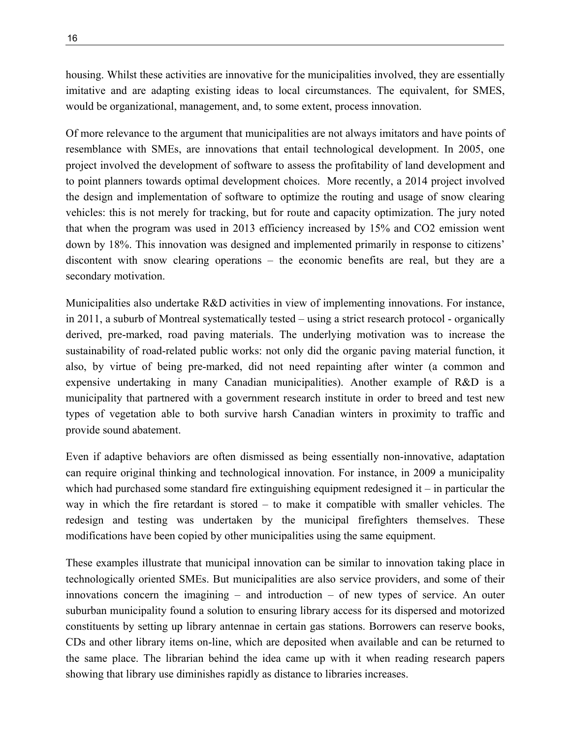housing. Whilst these activities are innovative for the municipalities involved, they are essentially imitative and are adapting existing ideas to local circumstances. The equivalent, for SMES, would be organizational, management, and, to some extent, process innovation.

Of more relevance to the argument that municipalities are not always imitators and have points of resemblance with SMEs, are innovations that entail technological development. In 2005, one project involved the development of software to assess the profitability of land development and to point planners towards optimal development choices. More recently, a 2014 project involved the design and implementation of software to optimize the routing and usage of snow clearing vehicles: this is not merely for tracking, but for route and capacity optimization. The jury noted that when the program was used in 2013 efficiency increased by 15% and CO2 emission went down by 18%. This innovation was designed and implemented primarily in response to citizens' discontent with snow clearing operations – the economic benefits are real, but they are a secondary motivation.

Municipalities also undertake R&D activities in view of implementing innovations. For instance, in 2011, a suburb of Montreal systematically tested – using a strict research protocol - organically derived, pre-marked, road paving materials. The underlying motivation was to increase the sustainability of road-related public works: not only did the organic paving material function, it also, by virtue of being pre-marked, did not need repainting after winter (a common and expensive undertaking in many Canadian municipalities). Another example of R&D is a municipality that partnered with a government research institute in order to breed and test new types of vegetation able to both survive harsh Canadian winters in proximity to traffic and provide sound abatement.

Even if adaptive behaviors are often dismissed as being essentially non-innovative, adaptation can require original thinking and technological innovation. For instance, in 2009 a municipality which had purchased some standard fire extinguishing equipment redesigned it  $-$  in particular the way in which the fire retardant is stored – to make it compatible with smaller vehicles. The redesign and testing was undertaken by the municipal firefighters themselves. These modifications have been copied by other municipalities using the same equipment.

These examples illustrate that municipal innovation can be similar to innovation taking place in technologically oriented SMEs. But municipalities are also service providers, and some of their innovations concern the imagining – and introduction – of new types of service. An outer suburban municipality found a solution to ensuring library access for its dispersed and motorized constituents by setting up library antennae in certain gas stations. Borrowers can reserve books, CDs and other library items on-line, which are deposited when available and can be returned to the same place. The librarian behind the idea came up with it when reading research papers showing that library use diminishes rapidly as distance to libraries increases.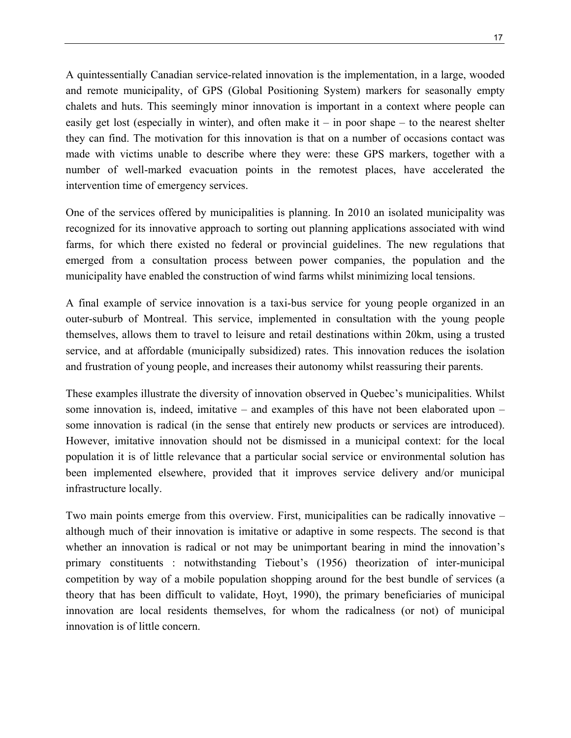A quintessentially Canadian service-related innovation is the implementation, in a large, wooded and remote municipality, of GPS (Global Positioning System) markers for seasonally empty chalets and huts. This seemingly minor innovation is important in a context where people can easily get lost (especially in winter), and often make it – in poor shape – to the nearest shelter they can find. The motivation for this innovation is that on a number of occasions contact was made with victims unable to describe where they were: these GPS markers, together with a number of well-marked evacuation points in the remotest places, have accelerated the intervention time of emergency services.

One of the services offered by municipalities is planning. In 2010 an isolated municipality was recognized for its innovative approach to sorting out planning applications associated with wind farms, for which there existed no federal or provincial guidelines. The new regulations that emerged from a consultation process between power companies, the population and the municipality have enabled the construction of wind farms whilst minimizing local tensions.

A final example of service innovation is a taxi-bus service for young people organized in an outer-suburb of Montreal. This service, implemented in consultation with the young people themselves, allows them to travel to leisure and retail destinations within 20km, using a trusted service, and at affordable (municipally subsidized) rates. This innovation reduces the isolation and frustration of young people, and increases their autonomy whilst reassuring their parents.

These examples illustrate the diversity of innovation observed in Quebec's municipalities. Whilst some innovation is, indeed, imitative – and examples of this have not been elaborated upon – some innovation is radical (in the sense that entirely new products or services are introduced). However, imitative innovation should not be dismissed in a municipal context: for the local population it is of little relevance that a particular social service or environmental solution has been implemented elsewhere, provided that it improves service delivery and/or municipal infrastructure locally.

Two main points emerge from this overview. First, municipalities can be radically innovative – although much of their innovation is imitative or adaptive in some respects. The second is that whether an innovation is radical or not may be unimportant bearing in mind the innovation's primary constituents : notwithstanding Tiebout's (1956) theorization of inter-municipal competition by way of a mobile population shopping around for the best bundle of services (a theory that has been difficult to validate, Hoyt, 1990), the primary beneficiaries of municipal innovation are local residents themselves, for whom the radicalness (or not) of municipal innovation is of little concern.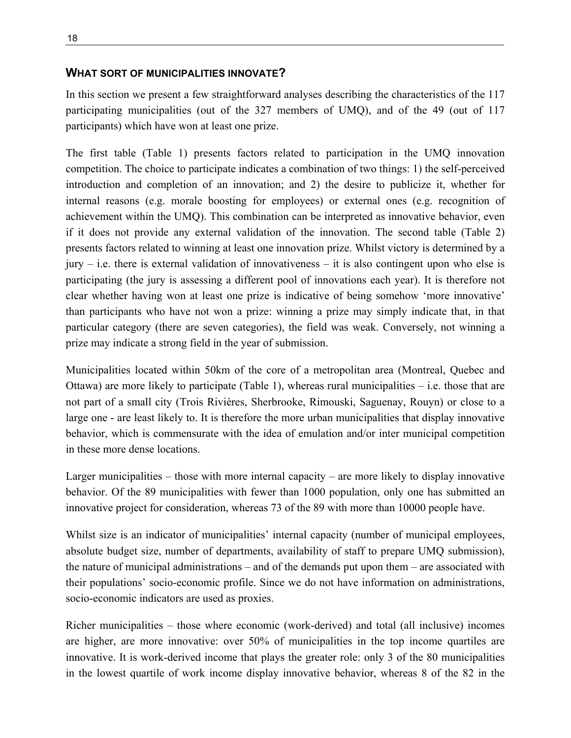#### **WHAT SORT OF MUNICIPALITIES INNOVATE?**

In this section we present a few straightforward analyses describing the characteristics of the 117 participating municipalities (out of the 327 members of UMQ), and of the 49 (out of 117 participants) which have won at least one prize.

The first table (Table 1) presents factors related to participation in the UMQ innovation competition. The choice to participate indicates a combination of two things: 1) the self-perceived introduction and completion of an innovation; and 2) the desire to publicize it, whether for internal reasons (e.g. morale boosting for employees) or external ones (e.g. recognition of achievement within the UMQ). This combination can be interpreted as innovative behavior, even if it does not provide any external validation of the innovation. The second table (Table 2) presents factors related to winning at least one innovation prize. Whilst victory is determined by a  $jury - i.e.$  there is external validation of innovativeness – it is also contingent upon who else is participating (the jury is assessing a different pool of innovations each year). It is therefore not clear whether having won at least one prize is indicative of being somehow 'more innovative' than participants who have not won a prize: winning a prize may simply indicate that, in that particular category (there are seven categories), the field was weak. Conversely, not winning a prize may indicate a strong field in the year of submission.

Municipalities located within 50km of the core of a metropolitan area (Montreal, Quebec and Ottawa) are more likely to participate (Table 1), whereas rural municipalities  $-$  i.e. those that are not part of a small city (Trois Rivières, Sherbrooke, Rimouski, Saguenay, Rouyn) or close to a large one - are least likely to. It is therefore the more urban municipalities that display innovative behavior, which is commensurate with the idea of emulation and/or inter municipal competition in these more dense locations.

Larger municipalities – those with more internal capacity – are more likely to display innovative behavior. Of the 89 municipalities with fewer than 1000 population, only one has submitted an innovative project for consideration, whereas 73 of the 89 with more than 10000 people have.

Whilst size is an indicator of municipalities' internal capacity (number of municipal employees, absolute budget size, number of departments, availability of staff to prepare UMQ submission), the nature of municipal administrations – and of the demands put upon them – are associated with their populations' socio-economic profile. Since we do not have information on administrations, socio-economic indicators are used as proxies.

Richer municipalities – those where economic (work-derived) and total (all inclusive) incomes are higher, are more innovative: over 50% of municipalities in the top income quartiles are innovative. It is work-derived income that plays the greater role: only 3 of the 80 municipalities in the lowest quartile of work income display innovative behavior, whereas 8 of the 82 in the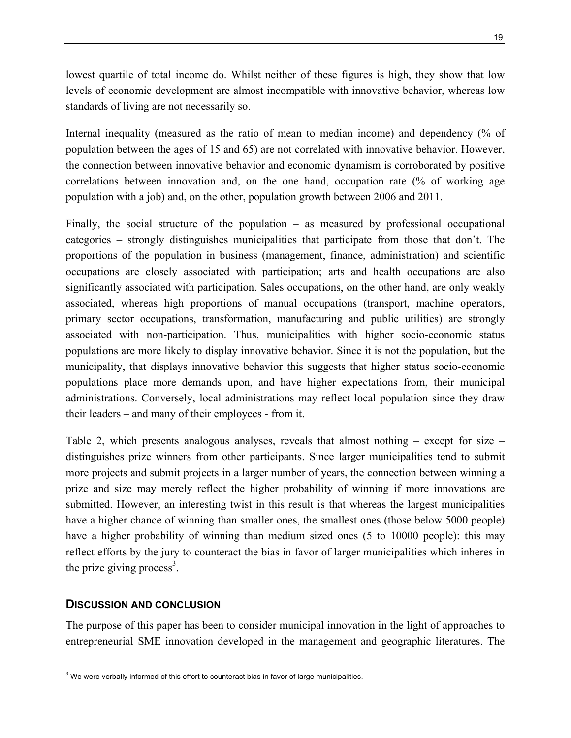lowest quartile of total income do. Whilst neither of these figures is high, they show that low levels of economic development are almost incompatible with innovative behavior, whereas low standards of living are not necessarily so.

Internal inequality (measured as the ratio of mean to median income) and dependency (% of population between the ages of 15 and 65) are not correlated with innovative behavior. However, the connection between innovative behavior and economic dynamism is corroborated by positive correlations between innovation and, on the one hand, occupation rate (% of working age population with a job) and, on the other, population growth between 2006 and 2011.

Finally, the social structure of the population – as measured by professional occupational categories – strongly distinguishes municipalities that participate from those that don't. The proportions of the population in business (management, finance, administration) and scientific occupations are closely associated with participation; arts and health occupations are also significantly associated with participation. Sales occupations, on the other hand, are only weakly associated, whereas high proportions of manual occupations (transport, machine operators, primary sector occupations, transformation, manufacturing and public utilities) are strongly associated with non-participation. Thus, municipalities with higher socio-economic status populations are more likely to display innovative behavior. Since it is not the population, but the municipality, that displays innovative behavior this suggests that higher status socio-economic populations place more demands upon, and have higher expectations from, their municipal administrations. Conversely, local administrations may reflect local population since they draw their leaders – and many of their employees - from it.

Table 2, which presents analogous analyses, reveals that almost nothing – except for size – distinguishes prize winners from other participants. Since larger municipalities tend to submit more projects and submit projects in a larger number of years, the connection between winning a prize and size may merely reflect the higher probability of winning if more innovations are submitted. However, an interesting twist in this result is that whereas the largest municipalities have a higher chance of winning than smaller ones, the smallest ones (those below 5000 people) have a higher probability of winning than medium sized ones (5 to 10000 people): this may reflect efforts by the jury to counteract the bias in favor of larger municipalities which inheres in the prize giving process<sup>3</sup>.

## **DISCUSSION AND CONCLUSION**

The purpose of this paper has been to consider municipal innovation in the light of approaches to entrepreneurial SME innovation developed in the management and geographic literatures. The

 $\frac{3}{3}$  We were verbally informed of this effort to counteract bias in favor of large municipalities.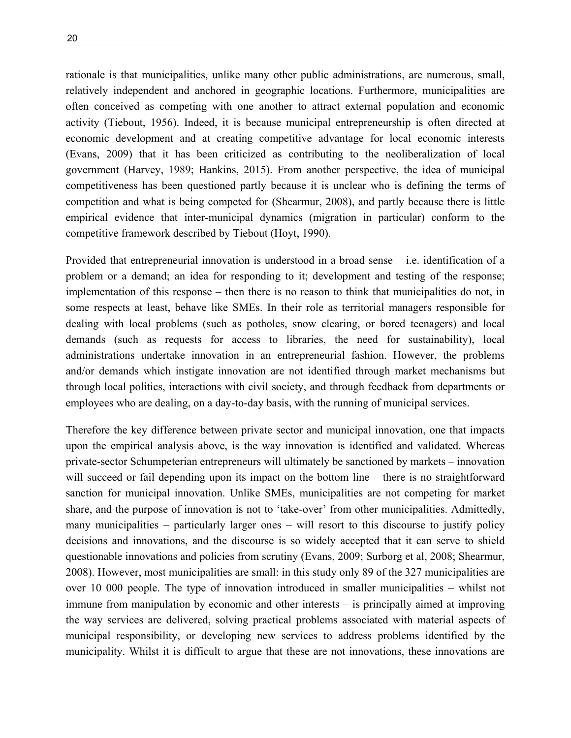rationale is that municipalities, unlike many other public administrations, are numerous, small, relatively independent and anchored in geographic locations. Furthermore, municipalities are often conceived as competing with one another to attract external population and economic activity (Tiebout, 1956). Indeed, it is because municipal entrepreneurship is often directed at economic development and at creating competitive advantage for local economic interests (Evans, 2009) that it has been criticized as contributing to the neoliberalization of local government (Harvey, 1989; Hankins, 2015). From another perspective, the idea of municipal competitiveness has been questioned partly because it is unclear who is defining the terms of competition and what is being competed for (Shearmur, 2008), and partly because there is little empirical evidence that inter-municipal dynamics (migration in particular) conform to the competitive framework described by Tiebout (Hoyt, 1990).

Provided that entrepreneurial innovation is understood in a broad sense – i.e. identification of a problem or a demand; an idea for responding to it; development and testing of the response; implementation of this response – then there is no reason to think that municipalities do not, in some respects at least, behave like SMEs. In their role as territorial managers responsible for dealing with local problems (such as potholes, snow clearing, or bored teenagers) and local demands (such as requests for access to libraries, the need for sustainability), local administrations undertake innovation in an entrepreneurial fashion. However, the problems and/or demands which instigate innovation are not identified through market mechanisms but through local politics, interactions with civil society, and through feedback from departments or employees who are dealing, on a day-to-day basis, with the running of municipal services.

Therefore the key difference between private sector and municipal innovation, one that impacts upon the empirical analysis above, is the way innovation is identified and validated. Whereas private-sector Schumpeterian entrepreneurs will ultimately be sanctioned by markets – innovation will succeed or fail depending upon its impact on the bottom line – there is no straightforward sanction for municipal innovation. Unlike SMEs, municipalities are not competing for market share, and the purpose of innovation is not to 'take-over' from other municipalities. Admittedly, many municipalities – particularly larger ones – will resort to this discourse to justify policy decisions and innovations, and the discourse is so widely accepted that it can serve to shield questionable innovations and policies from scrutiny (Evans, 2009; Surborg et al, 2008; Shearmur, 2008). However, most municipalities are small: in this study only 89 of the 327 municipalities are over 10 000 people. The type of innovation introduced in smaller municipalities – whilst not immune from manipulation by economic and other interests – is principally aimed at improving the way services are delivered, solving practical problems associated with material aspects of municipal responsibility, or developing new services to address problems identified by the municipality. Whilst it is difficult to argue that these are not innovations, these innovations are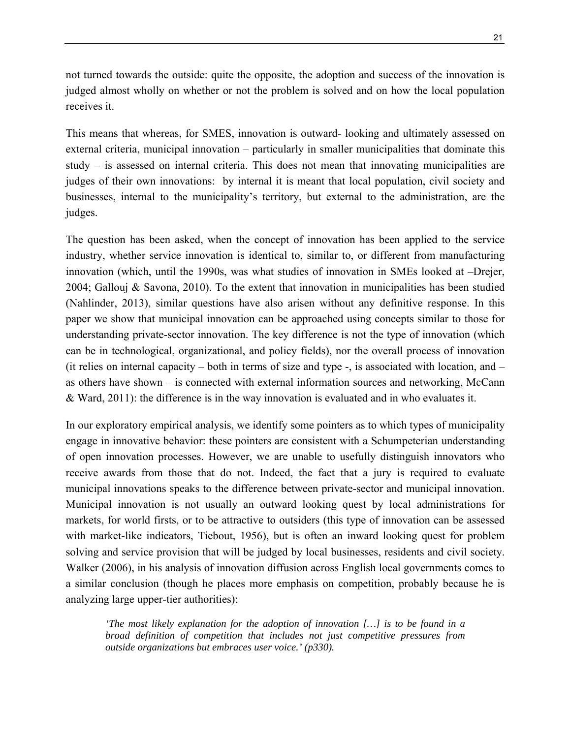not turned towards the outside: quite the opposite, the adoption and success of the innovation is judged almost wholly on whether or not the problem is solved and on how the local population receives it.

This means that whereas, for SMES, innovation is outward- looking and ultimately assessed on external criteria, municipal innovation – particularly in smaller municipalities that dominate this study – is assessed on internal criteria. This does not mean that innovating municipalities are judges of their own innovations: by internal it is meant that local population, civil society and businesses, internal to the municipality's territory, but external to the administration, are the judges.

The question has been asked, when the concept of innovation has been applied to the service industry, whether service innovation is identical to, similar to, or different from manufacturing innovation (which, until the 1990s, was what studies of innovation in SMEs looked at –Drejer, 2004; Gallouj & Savona, 2010). To the extent that innovation in municipalities has been studied (Nahlinder, 2013), similar questions have also arisen without any definitive response. In this paper we show that municipal innovation can be approached using concepts similar to those for understanding private-sector innovation. The key difference is not the type of innovation (which can be in technological, organizational, and policy fields), nor the overall process of innovation (it relies on internal capacity – both in terms of size and type -, is associated with location, and – as others have shown – is connected with external information sources and networking, McCann & Ward, 2011): the difference is in the way innovation is evaluated and in who evaluates it.

In our exploratory empirical analysis, we identify some pointers as to which types of municipality engage in innovative behavior: these pointers are consistent with a Schumpeterian understanding of open innovation processes. However, we are unable to usefully distinguish innovators who receive awards from those that do not. Indeed, the fact that a jury is required to evaluate municipal innovations speaks to the difference between private-sector and municipal innovation. Municipal innovation is not usually an outward looking quest by local administrations for markets, for world firsts, or to be attractive to outsiders (this type of innovation can be assessed with market-like indicators, Tiebout, 1956), but is often an inward looking quest for problem solving and service provision that will be judged by local businesses, residents and civil society. Walker (2006), in his analysis of innovation diffusion across English local governments comes to a similar conclusion (though he places more emphasis on competition, probably because he is analyzing large upper-tier authorities):

*'The most likely explanation for the adoption of innovation […] is to be found in a broad definition of competition that includes not just competitive pressures from outside organizations but embraces user voice.' (p330).*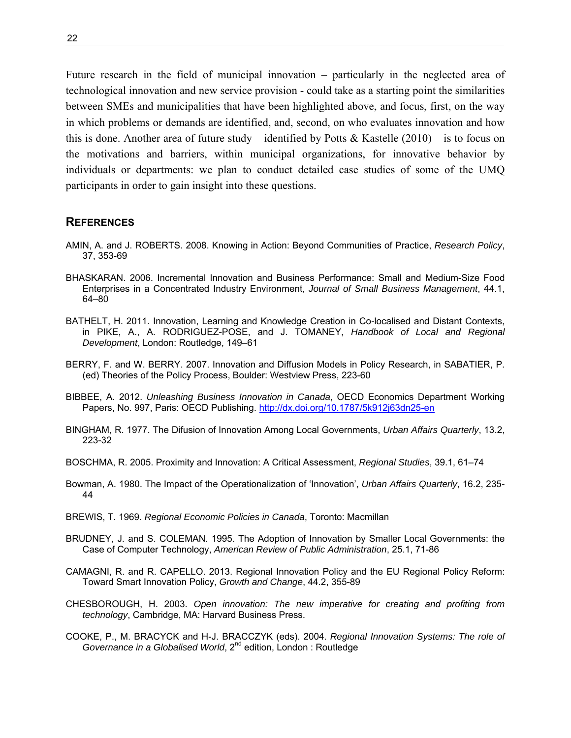Future research in the field of municipal innovation – particularly in the neglected area of technological innovation and new service provision - could take as a starting point the similarities between SMEs and municipalities that have been highlighted above, and focus, first, on the way in which problems or demands are identified, and, second, on who evaluates innovation and how this is done. Another area of future study – identified by Potts & Kastelle  $(2010)$  – is to focus on the motivations and barriers, within municipal organizations, for innovative behavior by individuals or departments: we plan to conduct detailed case studies of some of the UMQ participants in order to gain insight into these questions.

#### **REFERENCES**

- AMIN, A. and J. ROBERTS. 2008. Knowing in Action: Beyond Communities of Practice, *Research Policy*, 37, 353-69
- BHASKARAN. 2006. Incremental Innovation and Business Performance: Small and Medium-Size Food Enterprises in a Concentrated Industry Environment, *Journal of Small Business Management*, 44.1, 64–80
- BATHELT, H. 2011. Innovation, Learning and Knowledge Creation in Co-localised and Distant Contexts, in PIKE, A., A. RODRIGUEZ-POSE, and J. TOMANEY, *Handbook of Local and Regional Development*, London: Routledge, 149–61
- BERRY, F. and W. BERRY. 2007. Innovation and Diffusion Models in Policy Research, in SABATIER, P. (ed) Theories of the Policy Process, Boulder: Westview Press, 223-60
- BIBBEE, A. 2012. *Unleashing Business Innovation in Canada*, OECD Economics Department Working Papers, No. 997, Paris: OECD Publishing. http://dx.doi.org/10.1787/5k912j63dn25-en
- BINGHAM, R. 1977. The Difusion of Innovation Among Local Governments, *Urban Affairs Quarterly*, 13.2, 223-32
- BOSCHMA, R. 2005. Proximity and Innovation: A Critical Assessment, *Regional Studies*, 39.1, 61–74
- Bowman, A. 1980. The Impact of the Operationalization of 'Innovation', *Urban Affairs Quarterly*, 16.2, 235- 44
- BREWIS, T. 1969. *Regional Economic Policies in Canada*, Toronto: Macmillan
- BRUDNEY, J. and S. COLEMAN. 1995. The Adoption of Innovation by Smaller Local Governments: the Case of Computer Technology, *American Review of Public Administration*, 25.1, 71-86
- CAMAGNI, R. and R. CAPELLO. 2013. Regional Innovation Policy and the EU Regional Policy Reform: Toward Smart Innovation Policy, *Growth and Change*, 44.2, 355-89
- CHESBOROUGH, H. 2003. *Open innovation: The new imperative for creating and profiting from technology*, Cambridge, MA: Harvard Business Press.
- COOKE, P., M. BRACYCK and H-J. BRACCZYK (eds). 2004. *Regional Innovation Systems: The role of Governance in a Globalised World*, 2<sup>nd</sup> edition, London : Routledge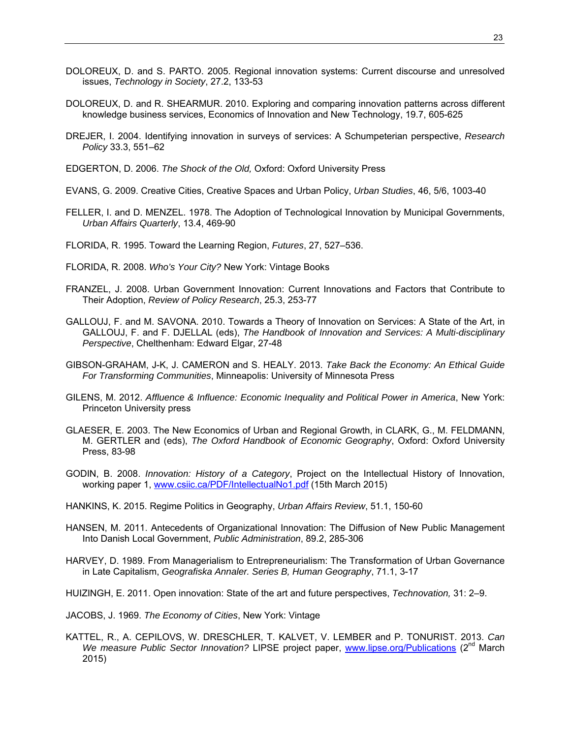- DOLOREUX, D. and S. PARTO. 2005. Regional innovation systems: Current discourse and unresolved issues, *Technology in Society*, 27.2, 133-53
- DOLOREUX, D. and R. SHEARMUR. 2010. Exploring and comparing innovation patterns across different knowledge business services, Economics of Innovation and New Technology, 19.7, 605-625
- DREJER, I. 2004. Identifying innovation in surveys of services: A Schumpeterian perspective, *Research Policy* 33.3, 551–62
- EDGERTON, D. 2006. *The Shock of the Old,* Oxford: Oxford University Press
- EVANS, G. 2009. Creative Cities, Creative Spaces and Urban Policy, *Urban Studies*, 46, 5/6, 1003-40
- FELLER, I. and D. MENZEL. 1978. The Adoption of Technological Innovation by Municipal Governments, *Urban Affairs Quarterly*, 13.4, 469-90
- FLORIDA, R. 1995. Toward the Learning Region, *Futures*, 27, 527–536.
- FLORIDA, R. 2008. *Who's Your City?* New York: Vintage Books
- FRANZEL, J. 2008. Urban Government Innovation: Current Innovations and Factors that Contribute to Their Adoption, *Review of Policy Research*, 25.3, 253-77
- GALLOUJ, F. and M. SAVONA. 2010. Towards a Theory of Innovation on Services: A State of the Art, in GALLOUJ, F. and F. DJELLAL (eds), *The Handbook of Innovation and Services: A Multi-disciplinary Perspective*, Chelthenham: Edward Elgar, 27-48
- GIBSON-GRAHAM, J-K, J. CAMERON and S. HEALY. 2013. *Take Back the Economy: An Ethical Guide For Transforming Communities*, Minneapolis: University of Minnesota Press
- GILENS, M. 2012. *Affluence & Influence: Economic Inequality and Political Power in America*, New York: Princeton University press
- GLAESER, E. 2003. The New Economics of Urban and Regional Growth, in CLARK, G., M. FELDMANN, M. GERTLER and (eds), *The Oxford Handbook of Economic Geography*, Oxford: Oxford University Press, 83-98
- GODIN, B. 2008. *Innovation: History of a Category*, Project on the Intellectual History of Innovation, working paper 1, www.csiic.ca/PDF/IntellectualNo1.pdf (15th March 2015)
- HANKINS, K. 2015. Regime Politics in Geography, *Urban Affairs Review*, 51.1, 150-60
- HANSEN, M. 2011. Antecedents of Organizational Innovation: The Diffusion of New Public Management Into Danish Local Government, *Public Administration*, 89.2, 285-306
- HARVEY, D. 1989. From Managerialism to Entrepreneurialism: The Transformation of Urban Governance in Late Capitalism, *Geografiska Annaler. Series B, Human Geography*, 71.1, 3-17
- HUIZINGH, E. 2011. Open innovation: State of the art and future perspectives, *Technovation,* 31: 2–9.
- JACOBS, J. 1969. *The Economy of Cities*, New York: Vintage
- KATTEL, R., A. CEPILOVS, W. DRESCHLER, T. KALVET, V. LEMBER and P. TONURIST. 2013. *Can*  We measure Public Sector Innovation? LIPSE project paper, www.lipse.org/Publications (2<sup>nd</sup> March 2015)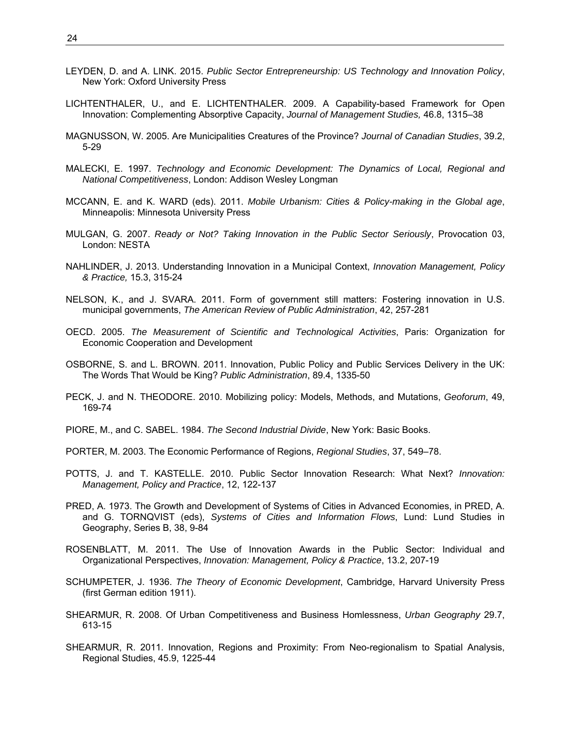- LEYDEN, D. and A. LINK. 2015. *Public Sector Entrepreneurship: US Technology and Innovation Policy*, New York: Oxford University Press
- LICHTENTHALER, U., and E. LICHTENTHALER. 2009. A Capability-based Framework for Open Innovation: Complementing Absorptive Capacity, *Journal of Management Studies,* 46.8, 1315–38
- MAGNUSSON, W. 2005. Are Municipalities Creatures of the Province? *Journal of Canadian Studies*, 39.2, 5-29
- MALECKI, E. 1997. *Technology and Economic Development: The Dynamics of Local, Regional and National Competitiveness*, London: Addison Wesley Longman
- MCCANN, E. and K. WARD (eds). 2011. *Mobile Urbanism: Cities & Policy-making in the Global age*, Minneapolis: Minnesota University Press
- MULGAN, G. 2007. *Ready or Not? Taking Innovation in the Public Sector Seriously*, Provocation 03, London: NESTA
- NAHLINDER, J. 2013. Understanding Innovation in a Municipal Context, *Innovation Management, Policy & Practice,* 15.3, 315-24
- NELSON, K., and J. SVARA. 2011. Form of government still matters: Fostering innovation in U.S. municipal governments, *The American Review of Public Administration*, 42, 257-281
- OECD. 2005. *The Measurement of Scientific and Technological Activities*, Paris: Organization for Economic Cooperation and Development
- OSBORNE, S. and L. BROWN. 2011. Innovation, Public Policy and Public Services Delivery in the UK: The Words That Would be King? *Public Administration*, 89.4, 1335-50
- PECK, J. and N. THEODORE. 2010. Mobilizing policy: Models, Methods, and Mutations, *Geoforum*, 49, 169-74
- PIORE, M., and C. SABEL. 1984. *The Second Industrial Divide*, New York: Basic Books.
- PORTER, M. 2003. The Economic Performance of Regions, *Regional Studies*, 37, 549–78.
- POTTS, J. and T. KASTELLE. 2010. Public Sector Innovation Research: What Next? *Innovation: Management, Policy and Practice*, 12, 122-137
- PRED, A. 1973. The Growth and Development of Systems of Cities in Advanced Economies, in PRED, A. and G. TORNQVIST (eds), *Systems of Cities and Information Flows*, Lund: Lund Studies in Geography, Series B, 38, 9-84
- ROSENBLATT, M. 2011. The Use of Innovation Awards in the Public Sector: Individual and Organizational Perspectives, *Innovation: Management, Policy & Practice*, 13.2, 207-19
- SCHUMPETER, J. 1936. *The Theory of Economic Development*, Cambridge, Harvard University Press (first German edition 1911).
- SHEARMUR, R. 2008. Of Urban Competitiveness and Business Homlessness, *Urban Geography* 29.7, 613-15
- SHEARMUR, R. 2011. Innovation, Regions and Proximity: From Neo-regionalism to Spatial Analysis, Regional Studies, 45.9, 1225-44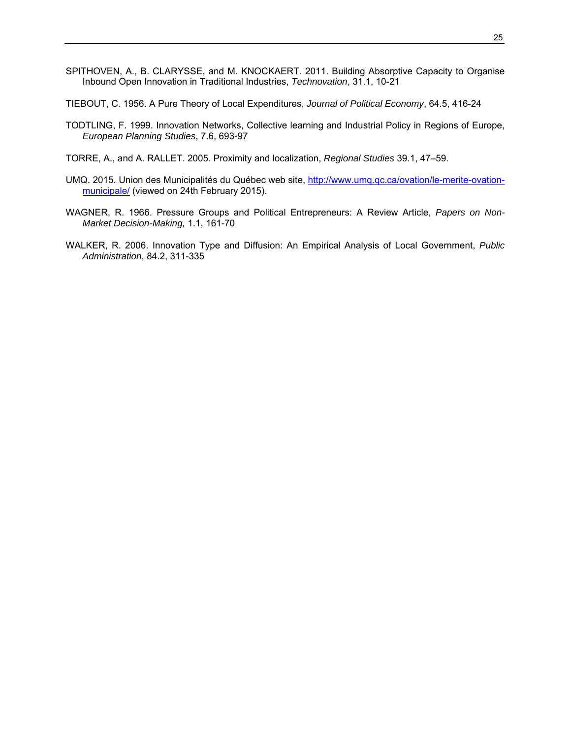- SPITHOVEN, A., B. CLARYSSE, and M. KNOCKAERT. 2011. Building Absorptive Capacity to Organise Inbound Open Innovation in Traditional Industries, *Technovation*, 31.1, 10-21
- TIEBOUT, C. 1956. A Pure Theory of Local Expenditures, *Journal of Political Economy*, 64.5, 416-24
- TODTLING, F. 1999. Innovation Networks, Collective learning and Industrial Policy in Regions of Europe, *European Planning Studies*, 7.6, 693-97
- TORRE, A., and A. RALLET. 2005. Proximity and localization, *Regional Studies* 39.1, 47–59.
- UMQ. 2015. Union des Municipalités du Québec web site, http://www.umq.qc.ca/ovation/le-merite-ovationmunicipale/ (viewed on 24th February 2015).
- WAGNER, R. 1966. Pressure Groups and Political Entrepreneurs: A Review Article, *Papers on Non-Market Decision-Making,* 1.1, 161-70
- WALKER, R. 2006. Innovation Type and Diffusion: An Empirical Analysis of Local Government, *Public Administration*, 84.2, 311-335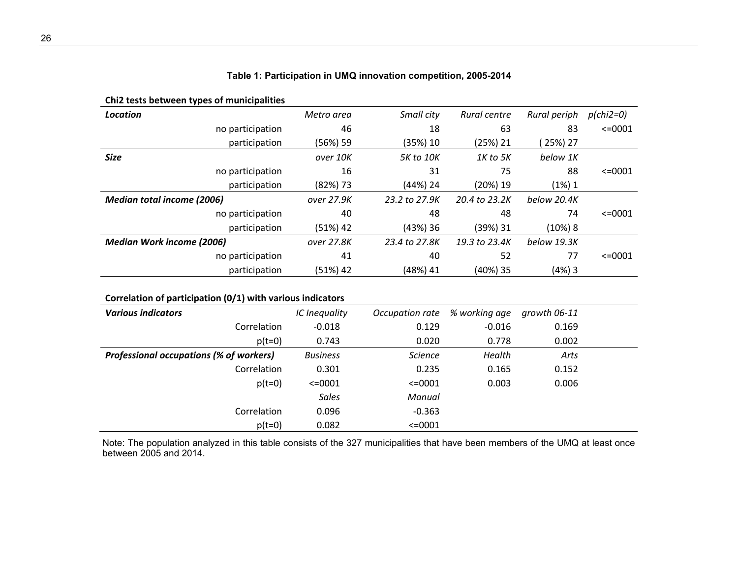| Chi2 tests between types of municipalities |            |               |               |              |             |
|--------------------------------------------|------------|---------------|---------------|--------------|-------------|
| Location                                   | Metro area | Small city    | Rural centre  | Rural periph | $p(chi2=0)$ |
| no participation                           | 46         | 18            | 63            | 83           | $\leq 0001$ |
| participation                              | (56%) 59   | (35%)10       | (25%) 21      | $(25%)$ 27   |             |
| <b>Size</b>                                | over 10K   | 5K to 10K     | 1K to 5K      | below 1K     |             |
| no participation                           | 16         | 31            | 75            | 88           | $< = 0001$  |
| participation                              | (82%) 73   | (44%) 24      | (20%) 19      | (1%) 1       |             |
| <b>Median total income (2006)</b>          | over 27.9K | 23.2 to 27.9K | 20.4 to 23.2K | below 20.4K  |             |
| no participation                           | 40         | 48            | 48            | 74           | $< = 0001$  |
| participation                              | (51%) 42   | $(43%)$ 36    | (39%)31       | $(10%)$ 8    |             |
| <b>Median Work income (2006)</b>           | over 27.8K | 23.4 to 27.8K | 19.3 to 23.4K | below 19.3K  |             |
| no participation                           | 41         | 40            | 52            | 77           | $< = 0001$  |
| participation                              | (51%) 42   | (48%) 41      | (40%) 35      | (4%) 3       |             |

#### **Table 1: Participation in UMQ innovation competition, 2005-2014**

#### **Correlation of participation (0/1) with various indicators**

| <b>Various indicators</b>                      | IC Inequality   | Occupation rate | % working age | growth 06-11 |  |
|------------------------------------------------|-----------------|-----------------|---------------|--------------|--|
| Correlation                                    | $-0.018$        | 0.129           | $-0.016$      | 0.169        |  |
| $p(t=0)$                                       | 0.743           | 0.020           | 0.778         | 0.002        |  |
| <b>Professional occupations (% of workers)</b> | <b>Business</b> | <b>Science</b>  | Health        | Arts         |  |
| Correlation                                    | 0.301           | 0.235           | 0.165         | 0.152        |  |
| $p(t=0)$                                       | $\leq 0001$     | $\leq 0001$     | 0.003         | 0.006        |  |
|                                                | <b>Sales</b>    | Manual          |               |              |  |
| Correlation                                    | 0.096           | $-0.363$        |               |              |  |
| $p(t=0)$                                       | 0.082           | $\leq 0001$     |               |              |  |

Note: The population analyzed in this table consists of the 327 municipalities that have been members of the UMQ at least once between 2005 and 2014.